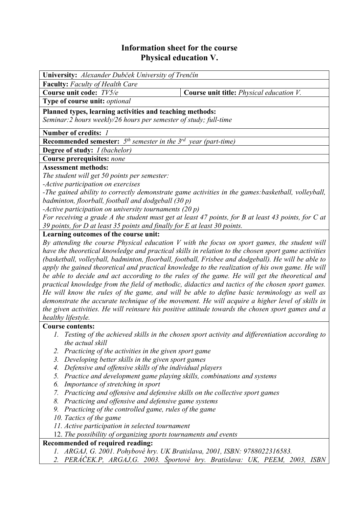## **Information sheet for the course Physical education V.**

| University: Alexander Dubček University of Trenčín                                                                                       |                                                                                                     |  |  |  |  |  |
|------------------------------------------------------------------------------------------------------------------------------------------|-----------------------------------------------------------------------------------------------------|--|--|--|--|--|
| <b>Faculty:</b> Faculty of Health Care                                                                                                   |                                                                                                     |  |  |  |  |  |
| Course unit code: TV5/e                                                                                                                  | Course unit title: Physical education V.                                                            |  |  |  |  |  |
| Type of course unit: optional                                                                                                            |                                                                                                     |  |  |  |  |  |
|                                                                                                                                          |                                                                                                     |  |  |  |  |  |
| Planned types, learning activities and teaching methods:<br>Seminar: 2 hours weekly/26 hours per semester of study; full-time            |                                                                                                     |  |  |  |  |  |
|                                                                                                                                          |                                                                                                     |  |  |  |  |  |
| <b>Recommended semester:</b> $5^{th}$ semester in the $3^{rd}$ year (part-time)                                                          |                                                                                                     |  |  |  |  |  |
| <b>Degree of study:</b> <i>I (bachelor)</i>                                                                                              |                                                                                                     |  |  |  |  |  |
| <b>Course prerequisites: none</b>                                                                                                        |                                                                                                     |  |  |  |  |  |
| <b>Assessment methods:</b>                                                                                                               |                                                                                                     |  |  |  |  |  |
| The student will get 50 points per semester:                                                                                             |                                                                                                     |  |  |  |  |  |
| -Active participation on exercises                                                                                                       |                                                                                                     |  |  |  |  |  |
| -The gained ability to correctly demonstrate game activities in the games: basketball, volleyball,                                       |                                                                                                     |  |  |  |  |  |
| badminton, floorball, football and dodgeball (30 p)                                                                                      |                                                                                                     |  |  |  |  |  |
| -Active participation on university tournaments (20 p)                                                                                   |                                                                                                     |  |  |  |  |  |
| For receiving a grade A the student must get at least 47 points, for B at least 43 points, for C at                                      |                                                                                                     |  |  |  |  |  |
| 39 points, for D at least 35 points and finally for E at least 30 points.                                                                |                                                                                                     |  |  |  |  |  |
| Learning outcomes of the course unit:                                                                                                    |                                                                                                     |  |  |  |  |  |
|                                                                                                                                          | By attending the course Physical education $V$ with the focus on sport games, the student will      |  |  |  |  |  |
|                                                                                                                                          | have the theoretical knowledge and practical skills in relation to the chosen sport game activities |  |  |  |  |  |
|                                                                                                                                          | (basketball, volleyball, badminton, floorball, football, Frisbee and dodgeball). He will be able to |  |  |  |  |  |
|                                                                                                                                          | apply the gained theoretical and practical knowledge to the realization of his own game. He will    |  |  |  |  |  |
|                                                                                                                                          | be able to decide and act according to the rules of the game. He will get the theoretical and       |  |  |  |  |  |
|                                                                                                                                          | practical knowledge from the field of methodic, didactics and tactics of the chosen sport games.    |  |  |  |  |  |
| He will know the rules of the game, and will be able to define basic terminology as well as                                              |                                                                                                     |  |  |  |  |  |
|                                                                                                                                          | demonstrate the accurate technique of the movement. He will acquire a higher level of skills in     |  |  |  |  |  |
|                                                                                                                                          | the given activities. He will reinsure his positive attitude towards the chosen sport games and a   |  |  |  |  |  |
| healthy lifestyle.                                                                                                                       |                                                                                                     |  |  |  |  |  |
| <b>Course contents:</b>                                                                                                                  |                                                                                                     |  |  |  |  |  |
|                                                                                                                                          | 1. Testing of the achieved skills in the chosen sport activity and differentiation according to     |  |  |  |  |  |
| the actual skill                                                                                                                         |                                                                                                     |  |  |  |  |  |
| 2. Practicing of the activities in the given sport game                                                                                  |                                                                                                     |  |  |  |  |  |
| 3. Developing better skills in the given sport games                                                                                     |                                                                                                     |  |  |  |  |  |
| Defensive and offensive skills of the individual players<br>4.<br>Practice and development game playing skills, combinations and systems |                                                                                                     |  |  |  |  |  |
| 5.                                                                                                                                       |                                                                                                     |  |  |  |  |  |
| Importance of stretching in sport<br>6.                                                                                                  |                                                                                                     |  |  |  |  |  |
| 7. Practicing and offensive and defensive skills on the collective sport games                                                           |                                                                                                     |  |  |  |  |  |
| 8. Practicing and offensive and defensive game systems                                                                                   |                                                                                                     |  |  |  |  |  |
| 9. Practicing of the controlled game, rules of the game                                                                                  |                                                                                                     |  |  |  |  |  |
| 10. Tactics of the game<br><i>Active participation in selected townament</i>                                                             |                                                                                                     |  |  |  |  |  |

- *11. Active participation in selected tournament*
- 12. *The possibility of organizing sports tournaments and events*

## **Recommended of required reading:**

- *1. ARGAJ, G. 2001. Pohybové hry. UK Bratislava, 2001, ISBN: 9788022316583.*
- *2. PERÁČEK.P, ARGAJ,G. 2003. Športové hry. Bratislava: UK, PEEM, 2003, ISBN*